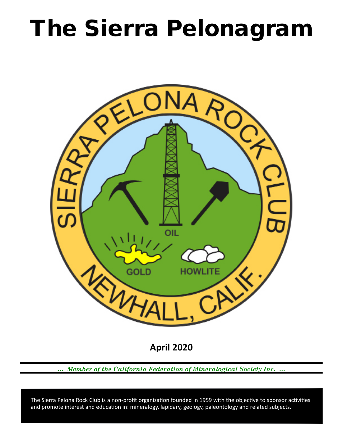# The Sierra Pelonagram



**April 2020**

*… Member of the California Federation of Mineralogical Society Inc. …*

 and promote interest and education in: mineralogy, lapidary, geology, paleontology and related subjects. The Sierra Pelona Rock Club is a non-profit organization founded in 1959 with the objective to sponsor activities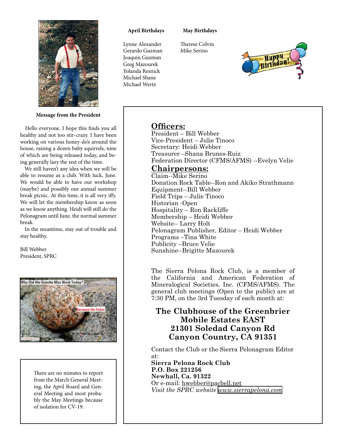

**Message from the President**

 Hello everyone. I hope this finds you all healthy and not too stir-crazy. I have been working on various honey-do's around the house, raising a dozen baby squirrels, nine of which are being released today, and being generally lazy the rest of the time.

 We still haven't any idea when we will be able to resume as a club. With luck, June. We would be able to have our workshop (maybe) and possibly our annual summer break picnic. At this time, it is all very iffy. We will let the membership know as soon as we know anything. Heidi will still do the Pelonagram until June, the normal summer break.

 In the meantime, stay out of trouble and stay healthy.

Bill Webber President, SPRC



There are no minutes to report from the March General Meeting, the April Board and General Meeting and most probably the May Meetings because of isolation for CV-19.

#### **April Birthdays**

Lynne Alexander Gerardo Guzman

#### **May Birthdays**

Therese Colvin Mike Serino



Joaquin Guzman Greg Mazourek Yolanda Resnick Michael Shane Michael Wertz

## **Officers:**

President – Bill Webber Vice‑President – Julie Tinoco Secretary: Heidi Webber Treasurer –Shana Brunes-Ruiz Federation Director (CFMS/AFMS) --Evelyn Velie

### **Chairpersons:**

Claim--Mike Serino Donation Rock Table--Ron and Akiko Strathmann Equipment--Bill Webber Field Trips – Julie Tinoco Historian ‑Open Hospitality – Ron Rackliffe Membership – Heidi Webber Website-- Larry Holt Pelonagram Publisher, Editor – Heidi Webber Programs –Tina White Publicity –Bruce Velie Sunshine--Brigitte Mazourek

The Sierra Pelona Rock Club, is a member of the California and American Federation of Mineralogical Societies, Inc. (CFMS/AFMS). The general club meetings (Open to the public) are at 7:30 PM, on the 3rd Tuesday of each month at:

## **The Clubhouse of the Greenbrier Mobile Estates EAST 21301 Soledad Canyon Rd Canyon Country, CA 91351**

Contact the Club or the Sierra Pelonagram Editor at:

**Sierra Pelona Rock Club P.O. Box 221256 Newhall, Ca. 91322** Or e‑mail: hwebber@pacbell.net *Visit the SPRC website [www.sierrapelona.com](http://www.sierrapelona.com/)*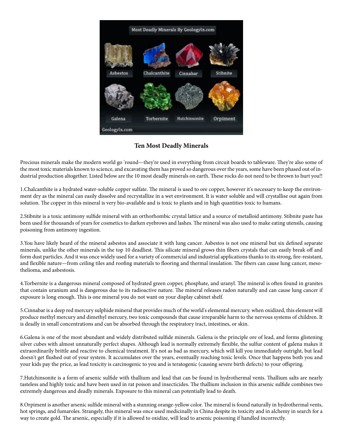

**Ten Most Deadly Minerals**

Precious minerals make the modern world go 'round—they're used in everything from circuit boards to tableware. They're also some of the most toxic materials known to science, and excavating them has proved so dangerous over the years, some have been phased out of industrial production altogether. Listed below are the 10 most deadly minerals on earth. These rocks do not need to be thrown to hurt you!!

1.Chalcanthite is a hydrated water-soluble copper sulfate. The mineral is used to ore copper, however it's necessary to keep the environment dry as the mineral can easily dissolve and recrystallize in a wet environment. It is water soluble and will crystallise out again from solution. The copper in this mineral is very bio-available and is toxic to plants and in high quantities toxic to humans.

2.Stibnite is a toxic antimony sulfide mineral with an orthorhombic crystal lattice and a source of metalloid antimony. Stibnite paste has been used for thousands of years for cosmetics to darken eyebrows and lashes. The mineral was also used to make eating utensils, causing poisoning from antimony ingestion.

3.You have likely heard of the mineral asbestos and associate it with lung cancer. Asbestos is not one mineral but six defined separate minerals, unlike the other minerals in the top 10 deadliest. This silicate mineral grows thin fibers crystals that can easily break off and form dust particles. And it was once widely used for a variety of commercial and industrial applications thanks to its strong, fire-resistant, and flexible nature—from ceiling tiles and roofing materials to flooring and thermal insulation. The fibers can cause lung cancer, mesothelioma, and asbestosis.

4.Torbernite is a dangerous mineral composed of hydrated green copper, phosphate, and uranyl. The mineral is often found in granites that contain uranium and is dangerous due to its radioactive nature. The mineral releases radon naturally and can cause lung cancer if exposure is long enough. This is one mineral you do not want on your display cabinet shelf.

5.Cinnabar is a deep red mercury sulphide mineral that provides much of the world's elemental mercury. when oxidized, this element will produce methyl mercury and dimethyl mercury, two toxic compounds that cause irreparable harm to the nervous systems of children. It is deadly in small concentrations and can be absorbed through the respiratory tract, intestines, or skin.

6.Galena is one of the most abundant and widely distributed sulfide minerals. Galena is the principle ore of lead, and forms glistening silver cubes with almost unnaturally perfect shapes. Although lead is normally extremely flexible, the sulfur content of galena makes it extraordinarily brittle and reactive to chemical treatment. It's not as bad as mercury, which will kill you immediately outright, but lead doesn't get flushed out of your system. It accumulates over the years, eventually reaching toxic levels. Once that happens both you and your kids pay the price, as lead toxicity is carcinogenic to you and is teratogenic (causing severe birth defects) to your offspring.

7.Hutchinsonite is a form of arsenic sulfide with thallium and lead that can be found in hydrothermal vents. Thallium salts are nearly tasteless and highly toxic and have been used in rat poison and insecticides. The thallium inclusion in this arsenic sulfide combines two extremely dangerous and deadly minerals. Exposure to this mineral can potentially lead to death.

8.Orpiment is another arsenic sulfide mineral with a stunning orange-yellow color. The mineral is found naturally in hydrothermal vents, hot springs, and fumaroles. Strangely, this mineral was once used medicinally in China despite its toxicity and in alchemy in search for a way to create gold. The arsenic, especially if it is allowed to oxidize, will lead to arsenic poisoning if handled incorrectly.